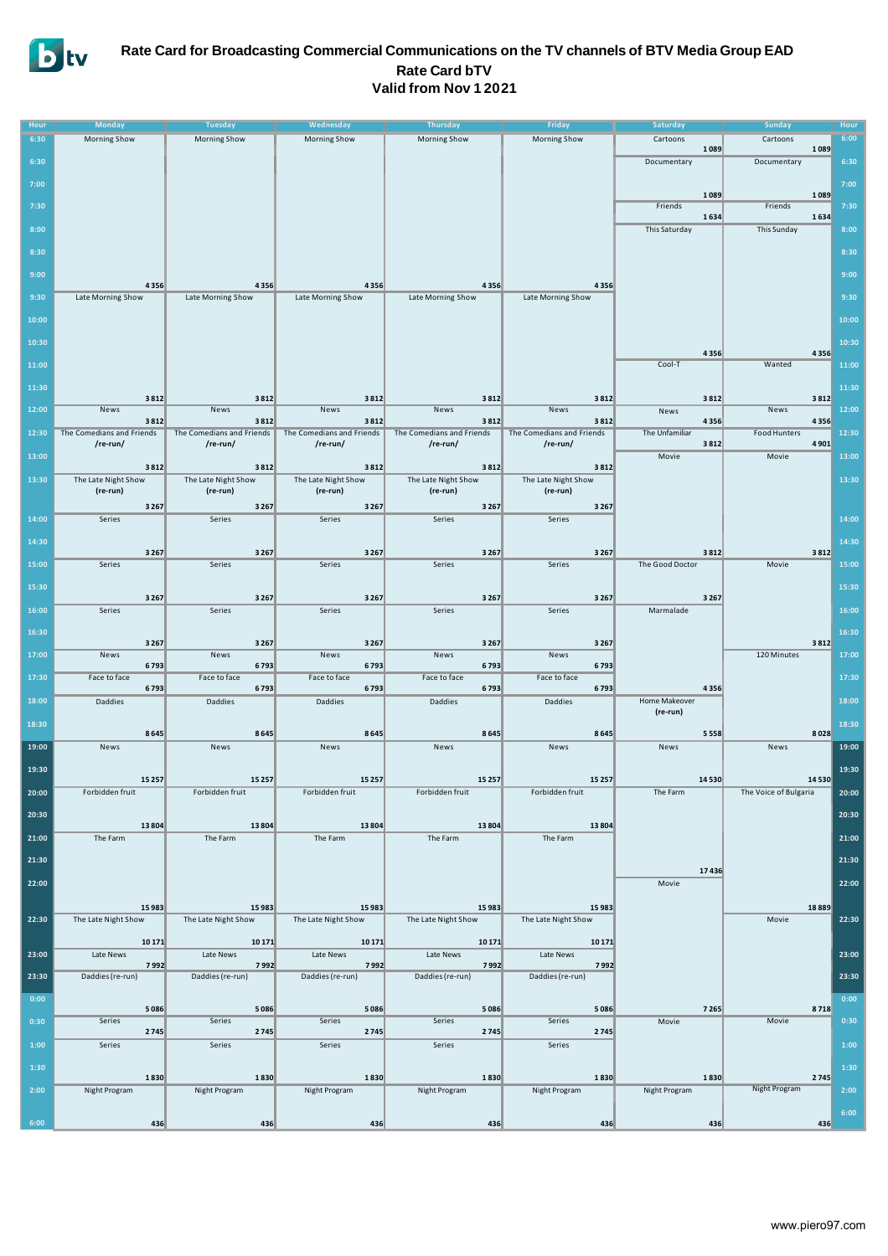

### **Rate Card for Broadcasting Commercial Communications on the TV channels of BTV Media Group EAD Rate Card bTV Valid from Nov 1 2021**

| Hour  | <b>Monday</b>                 | <b>Tuesday</b>                | Wednesday                     | <b>Thursday</b>               | Friday                       | Saturday              | <b>Sunday</b>         | Hour  |
|-------|-------------------------------|-------------------------------|-------------------------------|-------------------------------|------------------------------|-----------------------|-----------------------|-------|
| 6:30  | Morning Show                  | Morning Show                  | Morning Show                  | Morning Show                  | Morning Show                 | Cartoons              | Cartoons              | 6:00  |
| 6:30  |                               |                               |                               |                               |                              | 1089<br>Documentary   | 1089<br>Documentary   | 6:30  |
|       |                               |                               |                               |                               |                              |                       |                       |       |
| 7:00  |                               |                               |                               |                               |                              | 1089                  | 1089                  | 7:00  |
| 7:30  |                               |                               |                               |                               |                              | Friends               | Friends               | 7:30  |
|       |                               |                               |                               |                               |                              | 1634                  | 1634                  |       |
| 8:00  |                               |                               |                               |                               |                              | This Saturday         | This Sunday           | 8:00  |
| 8:30  |                               |                               |                               |                               |                              |                       |                       | 8:30  |
| 9:00  |                               |                               |                               |                               |                              |                       |                       | 9:00  |
|       | 4356                          | 4356                          | 4356                          | 4356                          | 4356                         |                       |                       |       |
| 9:30  | Late Morning Show             | Late Morning Show             | Late Morning Show             | Late Morning Show             | Late Morning Show            |                       |                       | 9:30  |
| 10:00 |                               |                               |                               |                               |                              |                       |                       | 10:00 |
| 10:30 |                               |                               |                               |                               |                              |                       |                       | 10:30 |
|       |                               |                               |                               |                               |                              | 4356                  | 4356                  |       |
| 11:00 |                               |                               |                               |                               |                              | Cool-T                | Wanted                | 11:00 |
| 11:30 |                               |                               |                               |                               |                              |                       |                       | 11:30 |
|       | 3812                          | 3812                          | 3812                          | 3812                          | 3812                         | 3812                  | 3812                  |       |
| 12:00 | News<br>3812                  | News<br>3812                  | News<br>3812                  | News<br>3812                  | News<br>3812                 | News<br>4356          | News<br>4356          | 12:00 |
| 12:30 | The Comedians and Friends     | The Comedians and Friends     | The Comedians and Friends     | The Comedians and Friends     | The Comedians and Friends    | The Unfamiliar        | Food Hunters          | 12:30 |
| 13:00 | /re-run/                      | /re-run/                      | /re-run/                      | /re-run/                      | /re-run/                     | 3812<br>Movie         | 4901<br>Movie         | 13:00 |
|       | 3812                          | 3812                          | 3812                          | 3812                          | 3812                         |                       |                       |       |
| 13:30 | The Late Night Show           | The Late Night Show           | The Late Night Show           | The Late Night Show           | The Late Night Show          |                       |                       | 13:30 |
|       | (re-run)<br>3 2 6 7           | (re-run)<br>3 2 6 7           | (re-run)<br>3 2 6 7           | (re-run)<br>3 2 6 7           | (re-run)<br>3 2 6 7          |                       |                       |       |
| 14:00 | Series                        | Series                        | Series                        | Series                        | Series                       |                       |                       | 14:00 |
|       |                               |                               |                               |                               |                              |                       |                       |       |
| 14:30 | 3 2 6 7                       | 3 2 6 7                       | 3 2 6 7                       | 3 2 6 7                       | 3 2 6 7                      | 3812                  | 3812                  | 14:30 |
| 15:00 | Series                        | Series                        | Series                        | Series                        | Series                       | The Good Doctor       | Movie                 | 15:00 |
| 15:30 |                               |                               |                               |                               |                              |                       |                       | 15:30 |
|       | 3 2 6 7                       | 3 2 6 7                       | 3 2 6 7                       | 3 2 6 7                       | 3 2 6 7                      | 3 2 6 7               |                       |       |
| 16:00 | Series                        | Series                        | Series                        | Series                        | Series                       | Marmalade             |                       | 16:00 |
| 16:30 |                               |                               |                               |                               |                              |                       |                       | 16:30 |
|       | 3 2 6 7                       | 3 2 6 7                       | 3 2 6 7                       | 3 2 6 7                       | 3267                         |                       | 3812<br>120 Minutes   |       |
| 17:00 | News<br>6793                  | News<br>6793                  | News<br>6793                  | News<br>6793                  | News<br>6793                 |                       |                       | 17:00 |
| 17:30 | Face to face                  | Face to face                  | Face to face                  | Face to face                  | Face to face                 |                       |                       | 17:30 |
| 18:00 | 6793<br>Daddies               | 6793<br>Daddies               | 6793<br>Daddies               | 6793<br>Daddies               | 6793<br>Daddies              | 4356<br>Home Makeover |                       | 18:00 |
|       |                               |                               |                               |                               |                              | (re-run)              |                       |       |
| 18:30 | 8645                          | 8645                          | 8645                          | 8645                          | 8645                         | 5558                  | 8028                  | 18:30 |
| 19:00 | News                          | News                          | News                          | News                          | News                         | News                  | News                  | 19:00 |
| 19:30 |                               |                               |                               |                               |                              |                       |                       | 19:30 |
|       | 15 25 7                       | 15 25 7                       | 15 2 5 7                      | 15 25 7                       | 15 25 7                      | 14530                 | 14530                 |       |
| 20:00 | Forbidden fruit               | Forbidden fruit               | Forbidden fruit               | Forbidden fruit               | Forbidden fruit              | The Farm              | The Voice of Bulgaria | 20:00 |
| 20:30 |                               |                               |                               |                               |                              |                       |                       | 20:30 |
|       | 13 804                        | 13804                         | 13 804                        | 13 804                        | 13804                        |                       |                       |       |
| 21:00 | The Farm                      | The Farm                      | The Farm                      | The Farm                      | The Farm                     |                       |                       | 21:00 |
| 21:30 |                               |                               |                               |                               |                              | 17436                 |                       | 21:30 |
| 22:00 |                               |                               |                               |                               |                              | Movie                 |                       | 22:00 |
|       |                               |                               |                               |                               |                              |                       |                       |       |
| 22:30 | 15 983<br>The Late Night Show | 15 983<br>The Late Night Show | 15 983<br>The Late Night Show | 15 983<br>The Late Night Show | 15983<br>The Late Night Show |                       | 18889<br>Movie        | 22:30 |
|       |                               |                               |                               |                               |                              |                       |                       |       |
|       | 10 17 1                       | 10171                         | 10 17 1                       | 10 17 1                       | 10 17 1                      |                       |                       |       |
| 23:00 | Late News<br>7992             | Late News<br>7992             | Late News<br>7992             | Late News<br>7992             | Late News<br>7992            |                       |                       | 23:00 |
| 23:30 | Daddies (re-run)              | Daddies (re-run)              | Daddies (re-run)              | Daddies (re-run)              | Daddies (re-run)             |                       |                       | 23:30 |
| 0:00  |                               |                               |                               |                               |                              |                       |                       | 0:00  |
|       | 5086                          | 5086                          | 5086                          | 5086                          | 5086                         | 7265                  | 8718                  |       |
| 0:30  | Series<br>2745                | Series<br>2745                | Series<br>2745                | Series<br>2745                | Series<br>2745               | Movie                 | Movie                 | 0:30  |
| 1:00  | Series                        | Series                        | Series                        | Series                        | Series                       |                       |                       | 1:00  |
| 1:30  |                               |                               |                               |                               |                              |                       |                       |       |
|       | 1830                          | 1830                          | 1830                          | 1830                          | 1830                         | 1830                  | 2745                  | 1:30  |
| 2:00  | Night Program                 | Night Program                 | Night Program                 | Night Program                 | Night Program                | Night Program         | Night Program         | 2:00  |
|       |                               |                               |                               |                               |                              |                       |                       | 6:00  |
| 6:00  | 436                           | 436                           | 436                           | 436                           | 436                          | 436                   | 436                   |       |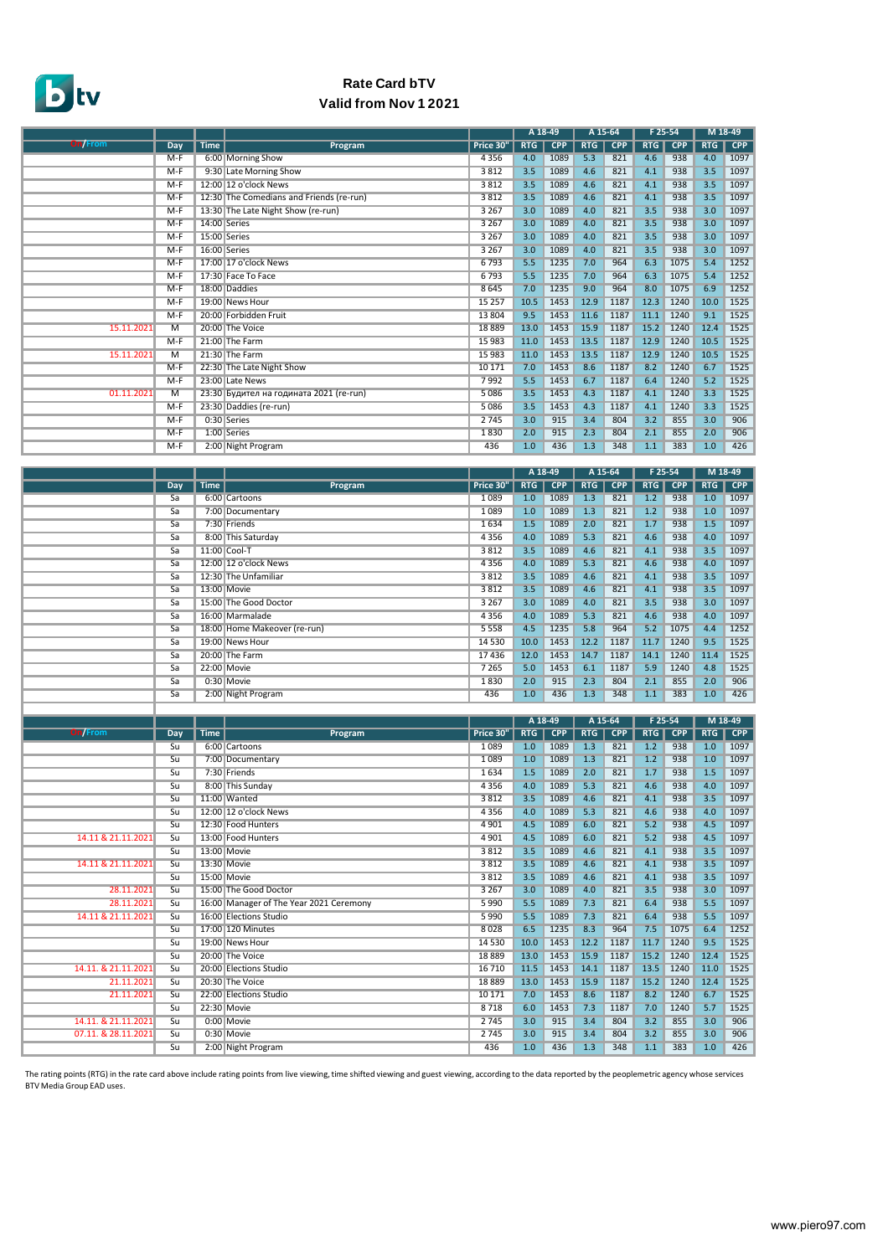

## **Rate Card bTV Valid from Nov 1 2021**

|                |                |      |                                          |           | A 18-49    |            | A 15-64    |            | $F$ 25-54  |            |            | M 18-49    |
|----------------|----------------|------|------------------------------------------|-----------|------------|------------|------------|------------|------------|------------|------------|------------|
| <b>On/From</b> | Day            | Time | Program                                  | Price 30" | <b>RTG</b> | <b>CPP</b> | <b>RTG</b> | <b>CPP</b> | <b>RTG</b> | <b>CPP</b> | <b>RTG</b> | <b>CPP</b> |
|                | $M-F$          |      | 6:00 Morning Show                        | 4 3 5 6   | 4.0        | 1089       | 5.3        | 821        | 4.6        | 938        | 4.0        | 1097       |
|                | $M-F$          |      | 9:30 Late Morning Show                   | 3812      | 3.5        | 1089       | 4.6        | 821        | 4.1        | 938        | 3.5        | 1097       |
|                | $M-F$          |      | 12:00 12 o'clock News                    | 3812      | 3.5        | 1089       | 4.6        | 821        | 4.1        | 938        | 3.5        | 1097       |
|                | $M-F$          |      | 12:30 The Comedians and Friends (re-run) | 3812      | 3.5        | 1089       | 4.6        | 821        | 4.1        | 938        | 3.5        | 1097       |
|                | $M-F$          |      | 13:30 The Late Night Show (re-run)       | 3 2 6 7   | 3.0        | 1089       | 4.0        | 821        | 3.5        | 938        | 3.0        | 1097       |
|                | $M-F$          |      | 14:00 Series                             | 3 2 6 7   | 3.0        | 1089       | 4.0        | 821        | 3.5        | 938        | 3.0        | 1097       |
|                | $M-F$          |      | 15:00 Series                             | 3 2 6 7   | 3.0        | 1089       | 4.0        | 821        | 3.5        | 938        | 3.0        | 1097       |
|                | $M-F$          |      | 16:00 Series                             | 3 2 6 7   | 3.0        | 1089       | 4.0        | 821        | 3.5        | 938        | 3.0        | 1097       |
|                | $M-F$          |      | 17:00 17 o'clock News                    | 6793      | 5.5        | 1235       | 7.0        | 964        | 6.3        | 1075       | 5.4        | 1252       |
|                | $M-F$          |      | 17:30 Face To Face                       | 6793      | 5.5        | 1235       | 7.0        | 964        | 6.3        | 1075       | 5.4        | 1252       |
|                | M-F            |      | 18:00 Daddies                            | 8645      | 7.0        | 1235       | 9.0        | 964        | 8.0        | 1075       | 6.9        | 1252       |
|                | $M-F$          |      | 19:00 News Hour                          | 15 25 7   | 10.5       | 1453       | 12.9       | 1187       | 12.3       | 1240       | 10.0       | 1525       |
|                | $M-F$          |      | 20:00 Forbidden Fruit                    | 13 804    | 9.5        | 1453       | 11.6       | 1187       | 11.1       | 1240       | 9.1        | 1525       |
| 15.11.2021     | $\overline{M}$ |      | 20:00 The Voice                          | 18889     | 13.0       | 1453       | 15.9       | 1187       | 15.2       | 1240       | 12.4       | 1525       |
|                | $M-F$          |      | 21:00 The Farm                           | 15 983    | 11.0       | 1453       | 13.5       | 1187       | 12.9       | 1240       | 10.5       | 1525       |
| 15.11.2021     | $\overline{M}$ |      | 21:30 The Farm                           | 15 983    | 11.0       | 1453       | 13.5       | 1187       | 12.9       | 1240       | 10.5       | 1525       |
|                | $M-F$          |      | 22:30 The Late Night Show                | 10 17 1   | 7.0        | 1453       | 8.6        | 1187       | 8.2        | 1240       | 6.7        | 1525       |
|                | $M-F$          |      | 23:00 Late News                          | 7992      | 5.5        | 1453       | 6.7        | 1187       | 6.4        | 1240       | 5.2        | 1525       |
| 01.11.2021     | $\overline{M}$ |      | 23:30 Будител на годината 2021 (re-run)  | 5 0 8 6   | 3.5        | 1453       | 4.3        | 1187       | 4.1        | 1240       | 3.3        | 1525       |
|                | $M-F$          |      | 23:30 Daddies (re-run)                   | 5 0 8 6   | 3.5        | 1453       | 4.3        | 1187       | 4.1        | 1240       | 3.3        | 1525       |
|                | $M-F$          |      | 0:30 Series                              | 2745      | 3.0        | 915        | 3.4        | 804        | 3.2        | 855        | 3.0        | 906        |
|                | $M-F$          |      | 1:00 Series                              | 1830      | 2.0        | 915        | 2.3        | 804        | 2.1        | 855        | 2.0        | 906        |
|                | $M-F$          |      | 2:00 Night Program                       | 436       | 1.0        | 436        | 1.3        | 348        | 1.1        | 383        | 1.0        | 426        |

|     |             |                              |           | A 18-49    |            | A 15-64    |            | F 25-54 |            |            | M 18-49    |
|-----|-------------|------------------------------|-----------|------------|------------|------------|------------|---------|------------|------------|------------|
| Day | <b>Time</b> | Program                      | Price 30" | <b>RTG</b> | <b>CPP</b> | <b>RTG</b> | <b>CPP</b> | RTG     | <b>CPP</b> | <b>RTG</b> | <b>CPP</b> |
| Sa  |             | 6:00 Cartoons                | 1089      | 1.0        | 1089       | 1.3        | 821        | 1.2     | 938        | 1.0        | 1097       |
| Sa  |             | 7:00 Documentary             | 1 0 8 9   | 1.0        | 1089       | 1.3        | 821        | 1.2     | 938        | 1.0        | 1097       |
| Sa  |             | 7:30 Friends                 | 1634      | 1.5        | 1089       | 2.0        | 821        | 1.7     | 938        | 1.5        | 1097       |
| Sa  |             | 8:00 This Saturday           | 4 3 5 6   | 4.0        | 1089       | 5.3        | 821        | 4.6     | 938        | 4.0        | 1097       |
| Sa  |             | 11:00 Cool-T                 | 3812      | 3.5        | 1089       | 4.6        | 821        | 4.1     | 938        | 3.5        | 1097       |
| Sa  |             | 12:00 12 o'clock News        | 4 3 5 6   | 4.0        | 1089       | 5.3        | 821        | 4.6     | 938        | 4.0        | 1097       |
| Sa  |             | 12:30 The Unfamiliar         | 3812      | 3.5        | 1089       | 4.6        | 821        | 4.1     | 938        | 3.5        | 1097       |
| Sa  |             | 13:00 Movie                  | 3 8 1 2   | 3.5        | 1089       | 4.6        | 821        | 4.1     | 938        | 3.5        | 1097       |
| Sa  |             | 15:00 The Good Doctor        | 3 2 6 7   | 3.0        | 1089       | 4.0        | 821        | 3.5     | 938        | 3.0        | 1097       |
| Sa  |             | 16:00 Marmalade              | 4 3 5 6   | 4.0        | 1089       | 5.3        | 821        | 4.6     | 938        | 4.0        | 1097       |
| Sa  |             | 18:00 Home Makeover (re-run) | 5 5 5 8   | 4.5        | 1235       | 5.8        | 964        | 5.2     | 1075       | 4.4        | 1252       |
| Sa  |             | 19:00 News Hour              | 14 5 30   | 10.0       | 1453       | 12.2       | 1187       | 11.7    | 1240       | 9.5        | 1525       |
| Sa  |             | 20:00 The Farm               | 17436     | 12.0       | 1453       | 14.7       | 1187       | 14.1    | 1240       | 11.4       | 1525       |
| Sa  |             | 22:00 Movie                  | 7 2 6 5   | 5.0        | 1453       | 6.1        | 1187       | 5.9     | 1240       | 4.8        | 1525       |
| Sa  |             | 0:30 Movie                   | 1830      | 2.0        | 915        | 2.3        | 804        | 2.1     | 855        | 2.0        | 906        |
| Sa  |             | 2:00 Night Program           | 436       | 1.0        | 436        | 1.3        | 348        | 1.1     | 383        | 1.0        | 426        |

|                     |                 |             |                                         |           | A 18-49    |            | A 15-64 |            | F 25-54    |            |            | M 18-49 |
|---------------------|-----------------|-------------|-----------------------------------------|-----------|------------|------------|---------|------------|------------|------------|------------|---------|
| <b>On/From</b>      | <b>Day</b>      | <b>Time</b> | Program                                 | Price 30" | <b>RTG</b> | <b>CPP</b> | RTG     | <b>CPP</b> | <b>RTG</b> | <b>CPP</b> | <b>RTG</b> | CPP     |
|                     | Su              |             | 6:00 Cartoons                           | 1089      | 1.0        | 1089       | 1.3     | 821        | 1.2        | 938        | 1.0        | 1097    |
|                     | Su              |             | 7:00 Documentary                        | 1089      | 1.0        | 1089       | 1.3     | 821        | 1.2        | 938        | 1.0        | 1097    |
|                     | Su              |             | 7:30 Friends                            | 1634      | 1.5        | 1089       | 2.0     | 821        | 1.7        | 938        | 1.5        | 1097    |
|                     | Su              |             | 8:00 This Sundav                        | 4 3 5 6   | 4.0        | 1089       | 5.3     | 821        | 4.6        | 938        | 4.0        | 1097    |
|                     | Su              |             | 11:00 Wanted                            | 3812      | 3.5        | 1089       | 4.6     | 821        | 4.1        | 938        | 3.5        | 1097    |
|                     | $\overline{su}$ |             | 12:00 12 o'clock News                   | 4 3 5 6   | 4.0        | 1089       | 5.3     | 821        | 4.6        | 938        | 4.0        | 1097    |
|                     | Su              |             | 12:30 Food Hunters                      | 4 9 0 1   | 4.5        | 1089       | 6.0     | 821        | 5.2        | 938        | 4.5        | 1097    |
| 14.11 & 21.11.2021  | Su              |             | 13:00 Food Hunters                      | 4 9 0 1   | 4.5        | 1089       | 6.0     | 821        | 5.2        | 938        | 4.5        | 1097    |
|                     | Su              |             | 13:00 Movie                             | 3812      | 3.5        | 1089       | 4.6     | 821        | 4.1        | 938        | 3.5        | 1097    |
| 14.11 & 21.11.2021  | Su              |             | 13:30 Movie                             | 3812      | 3.5        | 1089       | 4.6     | 821        | 4.1        | 938        | 3.5        | 1097    |
|                     | Su              |             | 15:00 Movie                             | 3812      | 3.5        | 1089       | 4.6     | 821        | 4.1        | 938        | 3.5        | 1097    |
| 28.11.2021          | Su              |             | 15:00 The Good Doctor                   | 3 2 6 7   | 3.0        | 1089       | 4.0     | 821        | 3.5        | 938        | 3.0        | 1097    |
| 28.11.2021          | Su              |             | 16:00 Manager of The Year 2021 Ceremony | 5990      | 5.5        | 1089       | 7.3     | 821        | 6.4        | 938        | 5.5        | 1097    |
| 14.11 & 21.11.2021  | Su              |             | 16:00 Elections Studio                  | 5 9 9 0   | 5.5        | 1089       | 7.3     | 821        | 6.4        | 938        | 5.5        | 1097    |
|                     | Su              |             | 17:00 120 Minutes                       | 8028      | 6.5        | 1235       | 8.3     | 964        | 7.5        | 1075       | 6.4        | 1252    |
|                     | Su              |             | 19:00 News Hour                         | 14 5 30   | 10.0       | 1453       | 12.2    | 1187       | 11.7       | 1240       | 9.5        | 1525    |
|                     | Su              |             | 20:00 The Voice                         | 18889     | 13.0       | 1453       | 15.9    | 1187       | 15.2       | 1240       | 12.4       | 1525    |
| 14.11. & 21.11.2021 | Su              |             | 20:00 Elections Studio                  | 16 7 10   | 11.5       | 1453       | 14.1    | 1187       | 13.5       | 1240       | 11.0       | 1525    |
| 21.11.2021          | Su              |             | 20:30 The Voice                         | 18889     | 13.0       | 1453       | 15.9    | 1187       | 15.2       | 1240       | 12.4       | 1525    |
| 21.11.2021          | Su              |             | 22:00 Elections Studio                  | 10 17 1   | 7.0        | 1453       | 8.6     | 1187       | 8.2        | 1240       | 6.7        | 1525    |
|                     | Su              |             | 22:30 Movie                             | 8718      | 6.0        | 1453       | 7.3     | 1187       | 7.0        | 1240       | 5.7        | 1525    |
| 14.11. & 21.11.2021 | Su              |             | 0:00 Movie                              | 2745      | 3.0        | 915        | 3.4     | 804        | 3.2        | 855        | 3.0        | 906     |
| 07.11. & 28.11.2021 | Su              |             | 0:30 Movie                              | 2745      | 3.0        | 915        | 3.4     | 804        | 3.2        | 855        | 3.0        | 906     |
|                     | Su              |             | 2:00 Night Program                      | 436       | 1.0        | 436        | 1.3     | 348        | 1.1        | 383        | 1.0        | 426     |

The rating points (RTG) in the rate card above include rating points from live viewing, time shifted viewing and guest viewing, according to the data reported by the peoplemetric agency whose services<br>BTV Media Group EAD u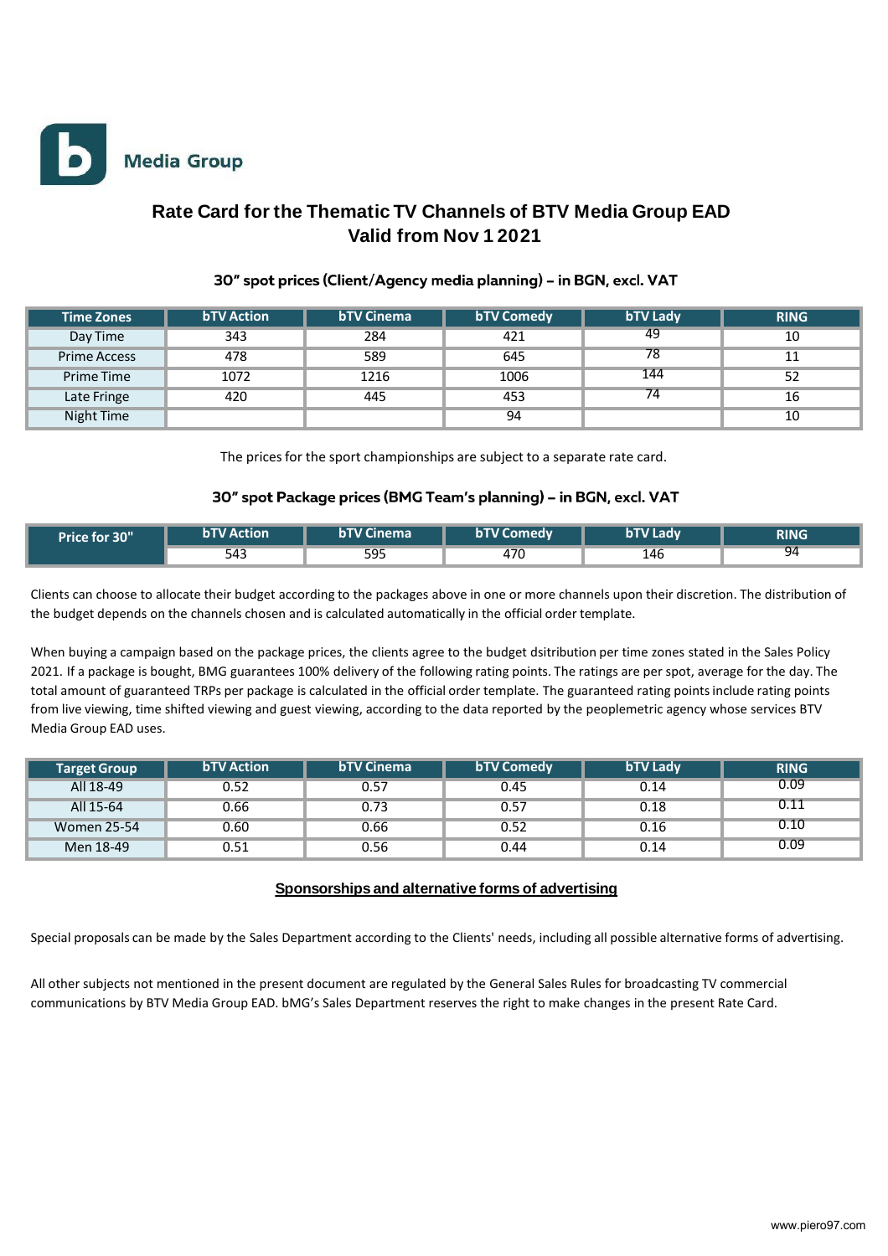

# **Rate Card for the Thematic TV Channels of BTV Media Group EAD Valid from Nov 1 2021**

### 30" spot prices (Client/Agency media planning) - in BGN, excl. VAT

| <b>Time Zones</b>   | <b>bTV Action</b> | <b>bTV Cinema</b> | <b>bTV Comedy</b> | <b>bTV Lady</b> | <b>RING</b> |
|---------------------|-------------------|-------------------|-------------------|-----------------|-------------|
| Day Time            | 343               | 284               | 421               | 49              | 10          |
| <b>Prime Access</b> | 478               | 589               | 645               | 78              | 11          |
| Prime Time          | 1072              | 1216              | 1006              | 144             | 52          |
| Late Fringe         | 420               | 445               | 453               | 74              | 16          |
| Night Time          |                   |                   | 94                |                 | 10          |

The prices for the sport championships are subject to a separate rate card.

#### 30" spot Package prices (BMG Team's planning) - in BGN, excl. VAT

| Price for 30" | <b>bTV Action</b> | <b>bTV Cinema</b> | <b>bTV Comedy</b> | <b>bTV Ladv</b> | <b>RING</b> |
|---------------|-------------------|-------------------|-------------------|-----------------|-------------|
|               | 543               | 595               | 470               | 146             | 94          |

Clients can choose to allocate their budget according to the packages above in one or more channels upon their discretion. The distribution of the budget depends on the channels chosen and is calculated automatically in the official order template.

When buying a campaign based on the package prices, the clients agree to the budget dsitribution per time zones stated in the Sales Policy 2021. If a package is bought, BMG guarantees 100% delivery of the following rating points. The ratings are per spot, average for the day. The total amount of guaranteed TRPs per package is calculated in the official order template. The guaranteed rating pointsinclude rating points from live viewing, time shifted viewing and guest viewing, according to the data reported by the peoplemetric agency whose services BTV Media Group EAD uses.

| <b>Target Group</b> | <b>bTV Action</b> | <b>bTV Cinema</b> | <b>bTV Comedy</b> | <b>bTV Lady</b> | <b>RING</b> |
|---------------------|-------------------|-------------------|-------------------|-----------------|-------------|
| All 18-49           | 0.52              | 0.57              | 0.45              | 0.14            | 0.09        |
| All 15-64           | 0.66              | 0.73              | 0.57              | 0.18            | 0.11        |
| Women 25-54         | 0.60              | 0.66              | 0.52              | 0.16            | 0.10        |
| Men 18-49           | 0.51              | 0.56              | 0.44              | 0.14            | 0.09        |

#### **Sponsorships and alternative forms of advertising**

Special proposals can be made by the Sales Department according to the Clients' needs, including all possible alternative forms of advertising.

All other subjects not mentioned in the present document are regulated by the General Sales Rules for broadcasting TV commercial communications by BTV Media Group EAD. bMG's Sales Department reserves the right to make changes in the present Rate Card.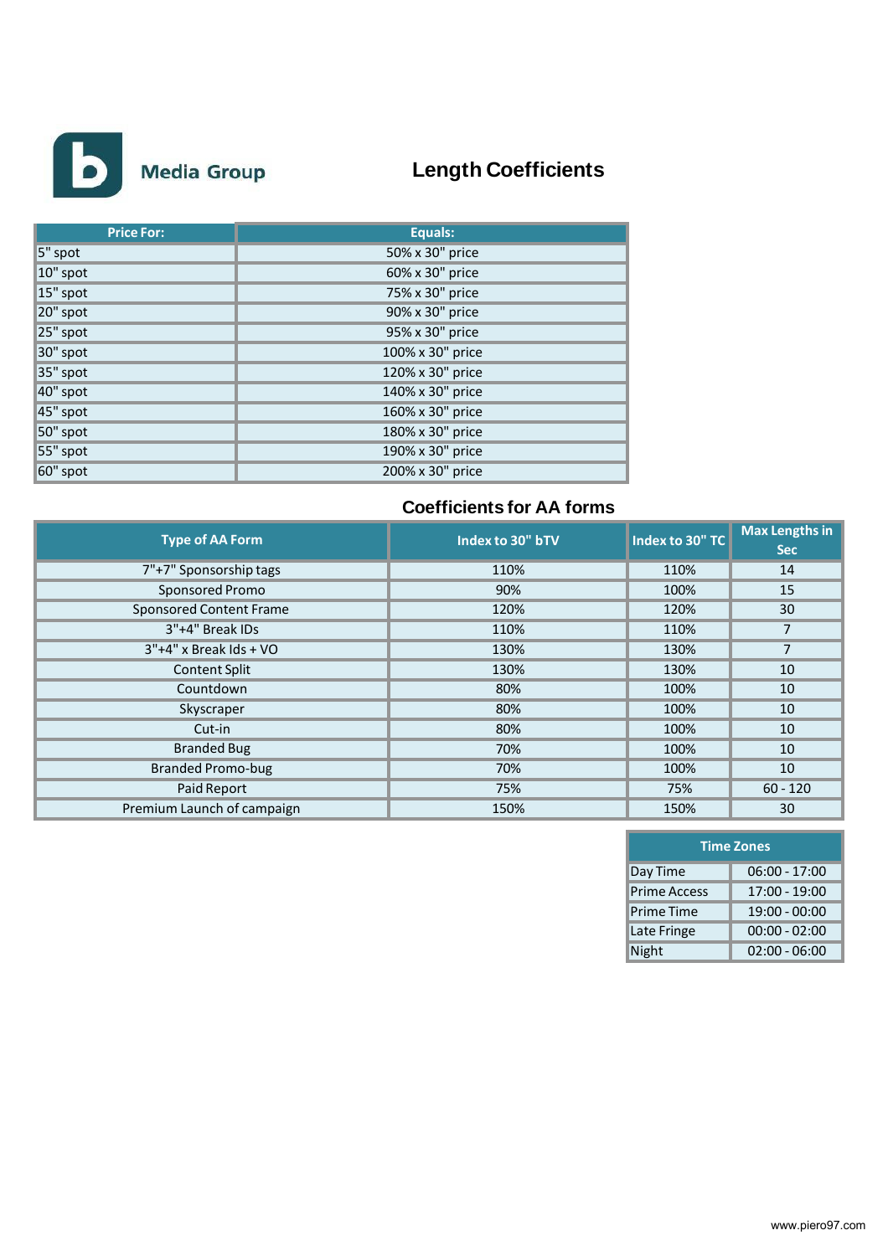

# **Length Coefficients**

| <b>Price For:</b> | Equals:          |
|-------------------|------------------|
| 5" spot           | 50% x 30" price  |
| 10" spot          | 60% x 30" price  |
| 15" spot          | 75% x 30" price  |
| 20" spot          | 90% x 30" price  |
| 25" spot          | 95% x 30" price  |
| 30" spot          | 100% x 30" price |
| 35" spot          | 120% x 30" price |
| 40" spot          | 140% x 30" price |
| 45" spot          | 160% x 30" price |
| 50" spot          | 180% x 30" price |
| 55" spot          | 190% x 30" price |
| 60" spot          | 200% x 30" price |

# **Coefficients for AA forms**

| <b>Type of AA Form</b>         | Index to 30" bTV | Index to 30" TC | <b>Max Lengths in</b><br><b>Sec</b> |
|--------------------------------|------------------|-----------------|-------------------------------------|
|                                |                  |                 |                                     |
| 7"+7" Sponsorship tags         | 110%             | 110%            | 14                                  |
| Sponsored Promo                | 90%              | 100%            | 15                                  |
| <b>Sponsored Content Frame</b> | 120%             | 120%            | 30                                  |
| 3"+4" Break IDs                | 110%             | 110%            | 7                                   |
| $3"+4"$ x Break Ids + VO       | 130%             | 130%            | $\overline{7}$                      |
| <b>Content Split</b>           | 130%             | 130%            | 10                                  |
| Countdown                      | 80%              | 100%            | 10                                  |
| Skyscraper                     | 80%              | 100%            | 10                                  |
| Cut-in                         | 80%              | 100%            | 10                                  |
| <b>Branded Bug</b>             | 70%              | 100%            | 10                                  |
| <b>Branded Promo-bug</b>       | 70%              | 100%            | 10                                  |
| Paid Report                    | 75%              | 75%             | $60 - 120$                          |
| Premium Launch of campaign     | 150%             | 150%            | 30                                  |

| <b>Time Zones</b>   |                 |  |  |  |  |
|---------------------|-----------------|--|--|--|--|
| Day Time            | $06:00 - 17:00$ |  |  |  |  |
| <b>Prime Access</b> | 17:00 - 19:00   |  |  |  |  |
| <b>Prime Time</b>   | $19:00 - 00:00$ |  |  |  |  |
| Late Fringe         | $00:00 - 02:00$ |  |  |  |  |
| Night               | $02:00 - 06:00$ |  |  |  |  |